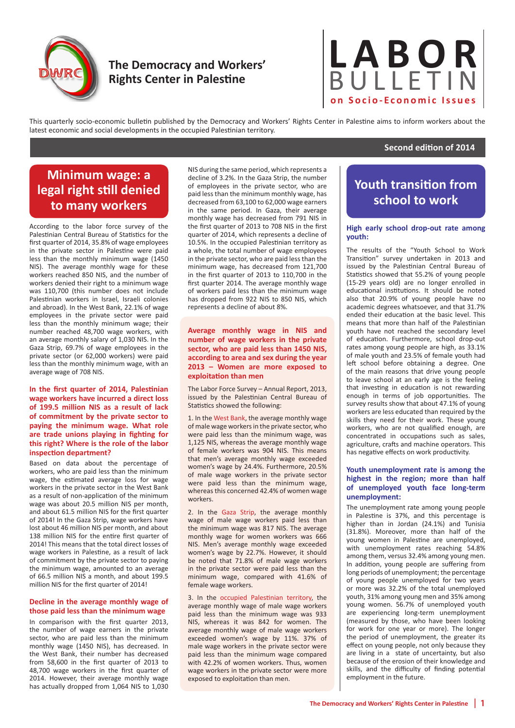

# **The Democracy and Workers' Rights Center in Palestine**



This quarterly socio-economic bulletin published by the Democracy and Workers' Rights Center in Palestine aims to inform workers about the latest economic and social developments in the occupied Palestinian territory.

## **Second edition of 2014**

# **Minimum wage: a legal right still denied to many workers**

According to the labor force survey of the Palestinian Central Bureau of Statistics for the first quarter of 2014, 35.8% of wage employees in the private sector in Palestine were paid less than the monthly minimum wage (1450 NIS). The average monthly wage for these workers reached 850 NIS, and the number of workers denied their right to a minimum wage was 110,700 (this number does not include Palestinian workers in Israel, Israeli colonies and abroad). In the West Bank, 22.1% of wage employees in the private sector were paid less than the monthly minimum wage; their number reached 48,700 wage workers, with an average monthly salary of 1,030 NIS. In the Gaza Strip, 69.7% of wage employees in the private sector (or 62,000 workers) were paid less than the monthly minimum wage, with an average wage of 708 NIS.

**In the first quarter of 2014, Palestinian wage workers have incurred a direct loss of 199.5 million NIS as a result of lack of commitment by the private sector to paying the minimum wage. What role are trade unions playing in fighting for this right? Where is the role of the labor inspection department?** 

Based on data about the percentage of workers, who are paid less than the minimum wage, the estimated average loss for wage workers in the private sector in the West Bank as a result of non-application of the minimum wage was about 20.5 million NIS per month, and about 61.5 million NIS for the first quarter of 2014! In the Gaza Strip, wage workers have lost about 46 million NIS per month, and about 138 million NIS for the entire first quarter of 2014! This means that the total direct losses of wage workers in Palestine, as a result of lack of commitment by the private sector to paying the minimum wage, amounted to an average of 66.5 million NIS a month, and about 199.5 million NIS for the first quarter of 2014!

## **Decline in the average monthly wage of those paid less than the minimum wage**

In comparison with the first quarter 2013, the number of wage earners in the private sector, who are paid less than the minimum monthly wage (1450 NIS), has decreased. In the West Bank, their number has decreased from 58,600 in the first quarter of 2013 to 48,700 wage workers in the first quarter of 2014. However, their average monthly wage has actually dropped from 1,064 NIS to 1,030

NIS during the same period, which represents a decline of 3.2%. In the Gaza Strip, the number of employees in the private sector, who are paid less than the minimum monthly wage, has decreased from 63,100 to 62,000 wage earners in the same period. In Gaza, their average monthly wage has decreased from 791 NIS in the first quarter of 2013 to 708 NIS in the first quarter of 2014, which represents a decline of 10.5%. In the occupied Palestinian territory as a whole, the total number of wage employees in the private sector, who are paid less than the minimum wage, has decreased from 121,700 in the first quarter of 2013 to 110,700 in the first quarter 2014. The average monthly wage of workers paid less than the minimum wage has dropped from 922 NIS to 850 NIS, which represents a decline of about 8%.

**Average monthly wage in NIS and number of wage workers in the private sector, who are paid less than 1450 NIS, according to area and sex during the year 2013 – Women are more exposed to exploitation than men** 

The Labor Force Survey – Annual Report, 2013, issued by the Palestinian Central Bureau of Statistics showed the following:

1. In the West Bank, the average monthly wage of male wage workers in the private sector, who were paid less than the minimum wage, was 1,125 NIS, whereas the average monthly wage of female workers was 904 NIS. This means that men's average monthly wage exceeded women's wage by 24.4%. Furthermore, 20.5% of male wage workers in the private sector were paid less than the minimum wage, whereas this concerned 42.4% of women wage workers.

2. In the Gaza Strip, the average monthly wage of male wage workers paid less than the minimum wage was 817 NIS. The average monthly wage for women workers was 666 NIS. Men's average monthly wage exceeded women's wage by 22.7%. However, it should be noted that 71.8% of male wage workers in the private sector were paid less than the minimum wage, compared with 41.6% of female wage workers.

3. In the occupied Palestinian territory, the average monthly wage of male wage workers paid less than the minimum wage was 933 NIS, whereas it was 842 for women. The average monthly wage of male wage workers exceeded women's wage by 11%. 37% of male wage workers in the private sector were paid less than the minimum wage compared with 42.2% of women workers. Thus, women wage workers in the private sector were more exposed to exploitation than men.

# **Youth transition from school to work**

## **High early school drop-out rate among youth:**

The results of the "Youth School to Work Transition" survey undertaken in 2013 and issued by the Palestinian Central Bureau of Statistics showed that 55.2% of young people (15-29 years old) are no longer enrolled in educational institutions. It should be noted also that 20.9% of young people have no academic degrees whatsoever, and that 31.7% ended their education at the basic level. This means that more than half of the Palestinian youth have not reached the secondary level of education. Furthermore, school drop-out rates among young people are high, as 33.1% of male youth and 23.5% of female youth had left school before obtaining a degree. One of the main reasons that drive young people to leave school at an early age is the feeling that investing in education is not rewarding enough in terms of job opportunities. The survey results show that about 47.1% of young workers are less educated than required by the skills they need for their work. These young workers, who are not qualified enough, are concentrated in occupations such as sales, agriculture, crafts and machine operators. This has negative effects on work productivity.

## **Youth unemployment rate is among the highest in the region; more than half of unemployed youth face long-term unemployment:**

The unemployment rate among young people in Palestine is 37%, and this percentage is higher than in Jordan (24.1%) and Tunisia (31.8%). Moreover, more than half of the young women in Palestine are unemployed, with unemployment rates reaching 54.8% among them, versus 32.4% among young men. In addition, young people are suffering from long periods of unemployment; the percentage of young people unemployed for two years or more was 32.2% of the total unemployed youth, 31% among young men and 35% among young women. 56.7% of unemployed youth are experiencing long-term unemployment (measured by those, who have been looking for work for one year or more). The longer the period of unemployment, the greater its effect on young people, not only because they are living in a state of uncertainty, but also because of the erosion of their knowledge and skills, and the difficulty of finding potential employment in the future.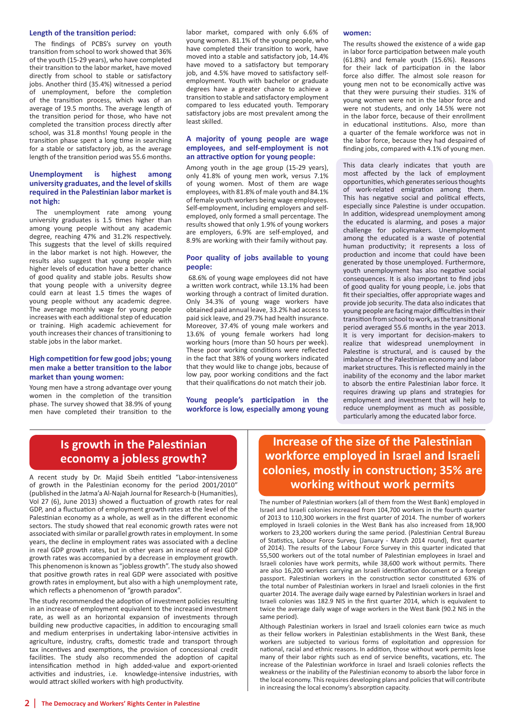### **Length of the transition period:**

The findings of PCBS's survey on youth transition from school to work showed that 36% of the youth (15-29 years), who have completed their transition to the labor market, have moved directly from school to stable or satisfactory jobs. Another third (35.4%) witnessed a period of unemployment, before the completion of the transition process, which was of an average of 19.5 months. The average length of the transition period for those, who have not completed the transition process directly after school, was 31.8 months! Young people in the transition phase spent a long time in searching for a stable or satisfactory job, as the average length of the transition period was 55.6 months.

## **Unemployment is highest among university graduates, and the level of skills required in the Palestinian labor market is not high:**

The unemployment rate among young university graduates is 1.5 times higher than among young people without any academic degree, reaching 47% and 31.2% respectively. This suggests that the level of skills required in the labor market is not high. However, the results also suggest that young people with higher levels of education have a better chance of good quality and stable jobs. Results show that young people with a university degree could earn at least 1.5 times the wages of young people without any academic degree. The average monthly wage for young people increases with each additional step of education or training. High academic achievement for youth increases their chances of transitioning to stable jobs in the labor market.

### **High competition for few good jobs; young men make a better transition to the labor market than young women:**

Young men have a strong advantage over young women in the completion of the transition phase. The survey showed that 38.9% of young men have completed their transition to the

labor market, compared with only 6.6% of young women. 81.1% of the young people, who have completed their transition to work, have moved into a stable and satisfactory job, 14.4% have moved to a satisfactory but temporary job, and 4.5% have moved to satisfactory selfemployment. Youth with bachelor or graduate degrees have a greater chance to achieve a transition to stable and satisfactory employment compared to less educated youth. Temporary satisfactory jobs are most prevalent among the least skilled.

## **A majority of young people are wage employees, and self-employment is not an attractive option for young people:**

Among youth in the age group (15-29 years), only 41.8% of young men work, versus 7.1% of young women. Most of them are wage employees, with 81.8% of male youth and 84.1% of female youth workers being wage employees. Self-employment, including employers and selfemployed, only formed a small percentage. The results showed that only 1.9% of young workers are employers, 6.9% are self-employed, and 8.9% are working with their family without pay.

### **Poor quality of jobs available to young people:**

68.6% of young wage employees did not have a written work contract, while 13.1% had been working through a contract of limited duration. Only 34.3% of young wage workers have obtained paid annual leave, 33.2% had access to paid sick leave, and 29.7% had health insurance. Moreover, 37.4% of young male workers and 13.6% of young female workers had long working hours (more than 50 hours per week). These poor working conditions were reflected in the fact that 38% of young workers indicated that they would like to change jobs, because of low pay, poor working conditions and the fact that their qualifications do not match their job.

**Young people's participation in the workforce is low, especially among young** 

### **women:**

The results showed the existence of a wide gap in labor force participation between male youth (61.8%) and female youth (15.6%). Reasons for their lack of participation in the labor force also differ. The almost sole reason for young men not to be economically active was that they were pursuing their studies. 31% of young women were not in the labor force and were not students, and only 14.5% were not in the labor force, because of their enrollment in educational institutions. Also, more than a quarter of the female workforce was not in the labor force, because they had despaired of finding jobs, compared with 4.1% of young men.

This data clearly indicates that youth are most affected by the lack of employment opportunities, which generates serious thoughts of work-related emigration among them. This has negative social and political effects, especially since Palestine is under occupation. In addition, widespread unemployment among the educated is alarming, and poses a major challenge for policymakers. Unemployment among the educated is a waste of potential human productivity; it represents a loss of production and income that could have been generated by those unemployed. Furthermore, youth unemployment has also negative social consequences. It is also important to find jobs of good quality for young people, i.e. jobs that fit their specialties, offer appropriate wages and provide job security. The data also indicates that young people are facing major difficulties in their transition from school to work, as the transitional period averaged 55.6 months in the year 2013. It is very important for decision-makers to realize that widespread unemployment in Palestine is structural, and is caused by the imbalance of the Palestinian economy and labor market structures. This is reflected mainly in the inability of the economy and the labor market to absorb the entire Palestinian labor force. It requires drawing up plans and strategies for employment and investment that will help to reduce unemployment as much as possible, particularly among the educated labor force.

## **Is growth in the Palestinian economy a jobless growth?**

A recent study by Dr. Majid Sbeih entitled "Labor-intensiveness of growth in the Palestinian economy for the period 2001/2010" (published in the Jatma'a Al-Najah Journal for Research-b (Humanities), Vol 27 (6), June 2013) showed a fluctuation of growth rates for real GDP, and a fluctuation of employment growth rates at the level of the Palestinian economy as a whole, as well as in the different economic sectors. The study showed that real economic growth rates were not associated with similar or parallel growth rates in employment. In some years, the decline in employment rates was associated with a decline in real GDP growth rates, but in other years an increase of real GDP growth rates was accompanied by a decrease in employment growth. This phenomenon is known as "jobless growth". The study also showed that positive growth rates in real GDP were associated with positive growth rates in employment, but also with a high unemployment rate, which reflects a phenomenon of "growth paradox".

The study recommended the adoption of investment policies resulting in an increase of employment equivalent to the increased investment rate, as well as an horizontal expansion of investments through building new productive capacities, in addition to encouraging small and medium enterprises in undertaking labor-intensive activities in agriculture, industry, crafts, domestic trade and transport through tax incentives and exemptions, the provision of concessional credit facilities. The study also recommended the adoption of capital intensification method in high added-value and export-oriented activities and industries, i.e. knowledge-intensive industries, with would attract skilled workers with high productivity.

# **Increase of the size of the Palestinian workforce employed in Israel and Israeli colonies, mostly in construction; 35% are working without work permits**

The number of Palestinian workers (all of them from the West Bank) employed in Israel and Israeli colonies increased from 104,700 workers in the fourth quarter of 2013 to 110,300 workers in the first quarter of 2014. The number of workers employed in Israeli colonies in the West Bank has also increased from 18,900 workers to 23,200 workers during the same period. (Palestinian Central Bureau of Statistics, Labour Force Survey, (January - March 2014 round), first quarter of 2014). The results of the Labour Force Survey in this quarter indicated that 55,500 workers out of the total number of Palestinian employees in Israel and Israeli colonies have work permits, while 38,600 work without permits. There are also 16,200 workers carrying an Israeli identification document or a foreign passport. Palestinian workers in the construction sector constituted 63% of the total number of Palestinian workers in Israel and Israeli colonies in the first quarter 2014. The average daily wage earned by Palestinian workers in Israel and Israeli colonies was 182.9 NIS in the first quarter 2014, which is equivalent to twice the average daily wage of wage workers in the West Bank (90.2 NIS in the same period).

Although Palestinian workers in Israel and Israeli colonies earn twice as much as their fellow workers in Palestinian establishments in the West Bank, these workers are subjected to various forms of exploitation and oppression for national, racial and ethnic reasons. In addition, those without work permits lose many of their labor rights such as end of service benefits, vacations, etc. The increase of the Palestinian workforce in Israel and Israeli colonies reflects the weakness or the inability of the Palestinian economy to absorb the labor force in the local economy. This requires developing plans and policies that will contribute in increasing the local economy's absorption capacity.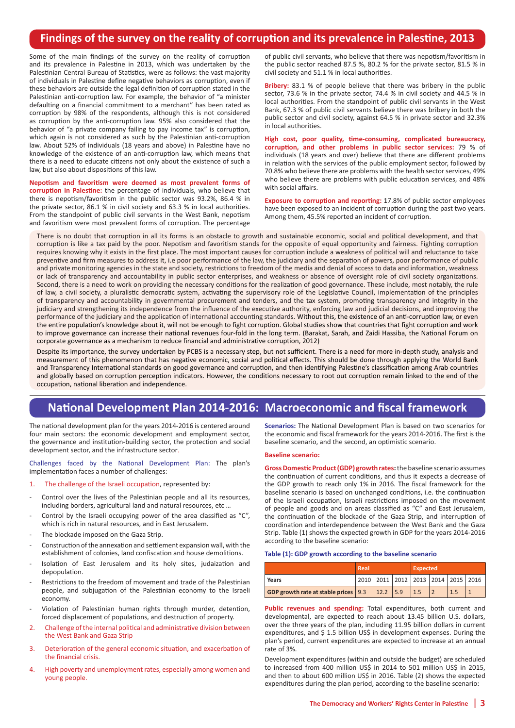## **Findings of the survey on the reality of corruption and its prevalence in Palestine, 2013**

Some of the main findings of the survey on the reality of corruption and its prevalence in Palestine in 2013, which was undertaken by the Palestinian Central Bureau of Statistics, were as follows: the vast majority of individuals in Palestine define negative behaviors as corruption, even if these behaviors are outside the legal definition of corruption stated in the Palestinian anti-corruption law. For example, the behavior of "a minister defaulting on a financial commitment to a merchant" has been rated as corruption by 98% of the respondents, although this is not considered as corruption by the anti-corruption law. 95% also considered that the behavior of "a private company failing to pay income tax" is corruption, which again is not considered as such by the Palestinian anti-corruption law. About 52% of individuals (18 years and above) in Palestine have no knowledge of the existence of an anti-corruption law, which means that there is a need to educate citizens not only about the existence of such a law, but also about dispositions of this law.

**Nepotism and favoritism were deemed as most prevalent forms of corruption in Palestine:** the percentage of individuals, who believe that there is nepotism/favoritism in the public sector was 93.2%, 86.4 % in the private sector, 86.1 % in civil society and 63.3 % in local authorities. From the standpoint of public civil servants in the West Bank, nepotism and favoritism were most prevalent forms of corruption. The percentage

of public civil servants, who believe that there was nepotism/favoritism in the public sector reached 87.5 %, 80.2 % for the private sector, 81.5 % in civil society and 51.1 % in local authorities.

**Bribery:** 83.1 % of people believe that there was bribery in the public sector, 73.6 % in the private sector, 74.4 % in civil society and 44.5 % in local authorities. From the standpoint of public civil servants in the West Bank, 67.3 % of public civil servants believe there was bribery in both the public sector and civil society, against 64.5 % in private sector and 32.3% in local authorities.

**High cost, poor quality, time-consuming, complicated bureaucracy, corruption, and other problems in public sector services:** 79 % of individuals (18 years and over) believe that there are different problems in relation with the services of the public employment sector, followed by 70.8% who believe there are problems with the health sector services, 49% who believe there are problems with public education services, and 48% with social affairs.

**Exposure to corruption and reporting:** 17.8% of public sector employees have been exposed to an incident of corruption during the past two years. Among them, 45.5% reported an incident of corruption.

There is no doubt that corruption in all its forms is an obstacle to growth and sustainable economic, social and political development, and that corruption is like a tax paid by the poor. Nepotism and favoritism stands for the opposite of equal opportunity and fairness. Fighting corruption requires knowing why it exists in the first place. The most important causes for corruption include a weakness of political will and reluctance to take preventive and firm measures to address it, i.e poor performance of the law, the judiciary and the separation of powers, poor performance of public and private monitoring agencies in the state and society, restrictions to freedom of the media and denial of access to data and information, weakness or lack of transparency and accountability in public sector enterprises, and weakness or absence of oversight role of civil society organizations. Second, there is a need to work on providing the necessary conditions for the realization of good governance. These include, most notably, the rule of law, a civil society, a pluralistic democratic system, activating the supervisory role of the Legislative Council, implementation of the principles of transparency and accountability in governmental procurement and tenders, and the tax system, promoting transparency and integrity in the judiciary and strengthening its independence from the influence of the executive authority, enforcing law and judicial decisions, and improving the performance of the judiciary and the application of international accounting standards. Without this, the existence of an anti-corruption law, or even the entire population's knowledge about it, will not be enough to fight corruption. Global studies show that countries that fight corruption and work to improve governance can increase their national revenues four-fold in the long term. (Barakat, Sarah, and Zaidi Hassiba, the National Forum on corporate governance as a mechanism to reduce financial and administrative corruption, 2012)

Despite its importance, the survey undertaken by PCBS is a necessary step, but not sufficient. There is a need for more in-depth study, analysis and measurement of this phenomenon that has negative economic, social and political effects. This should be done through applying the World Bank and Transparency International standards on good governance and corruption, and then identifying Palestine's classification among Arab countries and globally based on corruption perception indicators. However, the conditions necessary to root out corruption remain linked to the end of the occupation, national liberation and independence.

# **National Development Plan 2014-2016: Macroeconomic and fiscal framework**

The national development plan for the years 2014-2016 is centered around four main sectors: the economic development and employment sector, the governance and institution-building sector, the protection and social development sector, and the infrastructure sector.

Challenges faced by the National Development Plan: The plan's implementation faces a number of challenges:

- 1. The challenge of the Israeli occupation, represented by:
- Control over the lives of the Palestinian people and all its resources, including borders, agricultural land and natural resources, etc …
- Control by the Israeli occupying power of the area classified as "C", which is rich in natural resources, and in East Jerusalem.
- The blockade imposed on the Gaza Strip.
- Construction of the annexation and settlement expansion wall, with the establishment of colonies, land confiscation and house demolitions.
- Isolation of East Jerusalem and its holy sites, judaization and depopulation.
- Restrictions to the freedom of movement and trade of the Palestinian people, and subjugation of the Palestinian economy to the Israeli economy.
- Violation of Palestinian human rights through murder, detention, forced displacement of populations, and destruction of property.
- 2. Challenge of the internal political and administrative division between the West Bank and Gaza Strip
- 3. Deterioration of the general economic situation, and exacerbation of the financial crisis.
- 4. High poverty and unemployment rates, especially among women and young people.

**Scenarios:** The National Development Plan is based on two scenarios for the economic and fiscal framework for the years 2014-2016. The first is the baseline scenario, and the second, an optimistic scenario.

#### **Baseline scenario:**

**Gross Domestic Product (GDP) growth rates:** the baseline scenario assumes the continuation of current conditions, and thus it expects a decrease of the GDP growth to reach only 1% in 2016. The fiscal framework for the baseline scenario is based on unchanged conditions, i.e. the continuation of the Israeli occupation, Israeli restrictions imposed on the movement of people and goods and on areas classified as "C" and East Jerusalem, the continuation of the blockade of the Gaza Strip, and interruption of coordination and interdependence between the West Bank and the Gaza Strip. Table (1) shows the expected growth in GDP for the years 2014-2016 according to the baseline scenario:

#### **Table (1): GDP growth according to the baseline scenario**

|                                                     | Real |  |  | Expected                           |  |  |  |
|-----------------------------------------------------|------|--|--|------------------------------------|--|--|--|
| Years                                               |      |  |  | 2010 2011 2012 2013 2014 2015 2016 |  |  |  |
| GDP growth rate at stable prices   9.3   12.2   5.9 |      |  |  | 1.5                                |  |  |  |

**Public revenues and spending:** Total expenditures, both current and developmental, are expected to reach about 13.45 billion U.S. dollars, over the three years of the plan, including 11.95 billion dollars in current expenditures, and \$ 1.5 billion US\$ in development expenses. During the plan's period, current expenditures are expected to increase at an annual rate of 3%.

Development expenditures (within and outside the budget) are scheduled to increased from 400 million US\$ in 2014 to 501 million US\$ in 2015, and then to about 600 million US\$ in 2016. Table (2) shows the expected expenditures during the plan period, according to the baseline scenario: